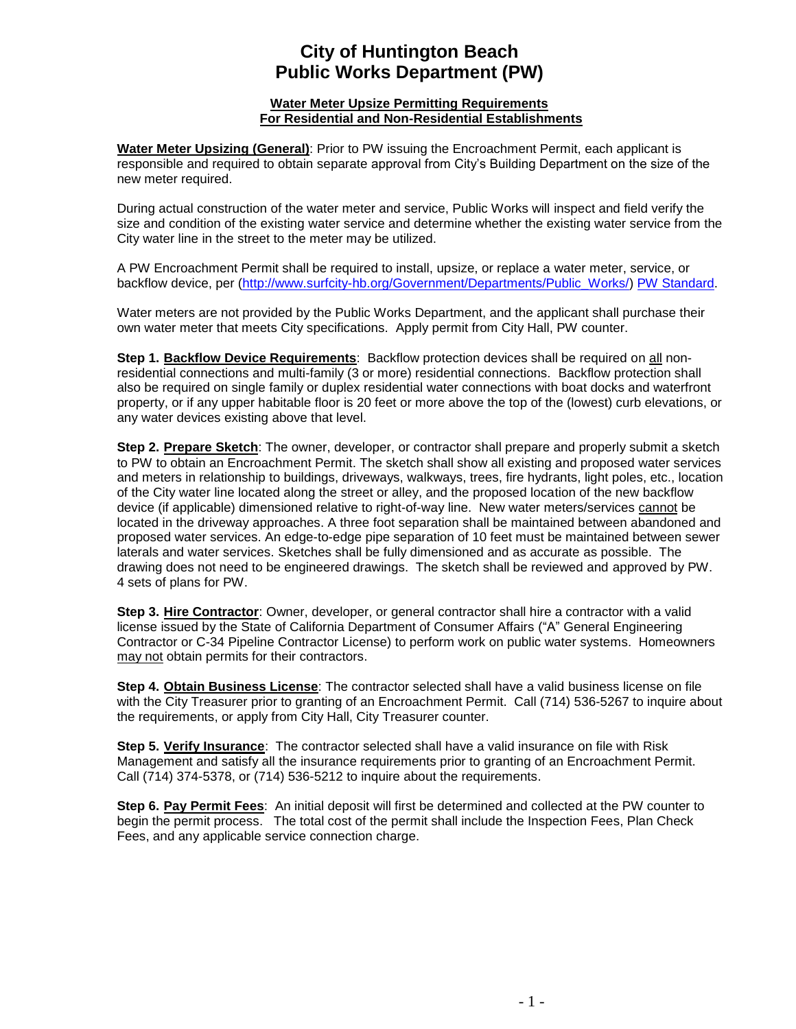## **City of Huntington Beach Public Works Department (PW)**

## **Water Meter Upsize Permitting Requirements For Residential and Non-Residential Establishments**

**Water Meter Upsizing (General)**: Prior to PW issuing the Encroachment Permit, each applicant is responsible and required to obtain separate approval from City's Building Department on the size of the new meter required.

During actual construction of the water meter and service, Public Works will inspect and field verify the size and condition of the existing water service and determine whether the existing water service from the City water line in the street to the meter may be utilized.

A PW Encroachment Permit shall be required to install, upsize, or replace a water meter, service, or backflow device, per [\(http://www.surfcity-hb.org/Government/Departments/Public\\_Works/\) PW Standard.](http://www.surfcity-hb.org/Government/Departments/Public_Works/)

Water meters are not provided by the Public Works Department, and the applicant shall purchase their own water meter that meets City specifications. Apply permit from City Hall, PW counter.

**Step 1. Backflow Device Requirements**: Backflow protection devices shall be required on all nonresidential connections and multi-family (3 or more) residential connections. Backflow protection shall also be required on single family or duplex residential water connections with boat docks and waterfront property, or if any upper habitable floor is 20 feet or more above the top of the (lowest) curb elevations, or any water devices existing above that level.

**Step 2. Prepare Sketch**: The owner, developer, or contractor shall prepare and properly submit a sketch to PW to obtain an Encroachment Permit. The sketch shall show all existing and proposed water services and meters in relationship to buildings, driveways, walkways, trees, fire hydrants, light poles, etc., location of the City water line located along the street or alley, and the proposed location of the new backflow device (if applicable) dimensioned relative to right-of-way line. New water meters/services cannot be located in the driveway approaches. A three foot separation shall be maintained between abandoned and proposed water services. An edge-to-edge pipe separation of 10 feet must be maintained between sewer laterals and water services. Sketches shall be fully dimensioned and as accurate as possible. The drawing does not need to be engineered drawings. The sketch shall be reviewed and approved by PW. 4 sets of plans for PW.

**Step 3. Hire Contractor**: Owner, developer, or general contractor shall hire a contractor with a valid license issued by the State of California Department of Consumer Affairs ("A" General Engineering Contractor or C-34 Pipeline Contractor License) to perform work on public water systems. Homeowners may not obtain permits for their contractors.

**Step 4. Obtain Business License**: The contractor selected shall have a valid business license on file with the City Treasurer prior to granting of an Encroachment Permit. Call (714) 536-5267 to inquire about the requirements, or apply from City Hall, City Treasurer counter.

**Step 5. Verify Insurance**: The contractor selected shall have a valid insurance on file with Risk Management and satisfy all the insurance requirements prior to granting of an Encroachment Permit. Call (714) 374-5378, or (714) 536-5212 to inquire about the requirements.

**Step 6. Pay Permit Fees**: An initial deposit will first be determined and collected at the PW counter to begin the permit process. The total cost of the permit shall include the Inspection Fees, Plan Check Fees, and any applicable service connection charge.